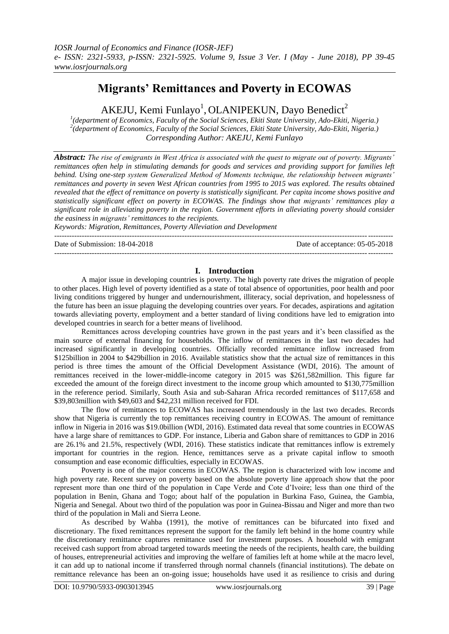# **Migrants' Remittances and Poverty in ECOWAS**

AKEJU, Kemi Funlayo<sup>1</sup>, OLANIPEKUN, Dayo Benedict<sup>2</sup>

*1 (department of Economics, Faculty of the Social Sciences, Ekiti State University, Ado-Ekiti, Nigeria.) 2 (department of Economics, Faculty of the Social Sciences, Ekiti State University, Ado-Ekiti, Nigeria.) Corresponding Author: AKEJU, Kemi Funlayo*

*Abstract: The rise of emigrants in West Africa is associated with the quest to migrate out of poverty. Migrants' remittances often help in stimulating demands for goods and services and providing support for families left behind. Using one-step system Generalized Method of Moments technique, the relationship between migrants' remittances and poverty in seven West African countries from 1995 to 2015 was explored. The results obtained revealed that the effect of remittance on poverty is statistically significant. Per capita income shows positive and statistically significant effect on poverty in ECOWAS. The findings show that migrants' remittances play a significant role in alleviating poverty in the region. Government efforts in alleviating poverty should consider the easiness in migrants' remittances to the recipients.* 

*Keywords: Migration, Remittances, Poverty Alleviation and Development* ---------------------------------------------------------------------------------------------------------------------------------------

Date of Submission: 18-04-2018 Date of acceptance: 05-05-2018

## **I. Introduction**

---------------------------------------------------------------------------------------------------------------------------------------

A major issue in developing countries is poverty. The high poverty rate drives the migration of people to other places. High level of poverty identified as a state of total absence of opportunities, poor health and poor living conditions triggered by hunger and undernourishment, illiteracy, social deprivation, and hopelessness of the future has been an issue plaguing the developing countries over years. For decades, aspirations and agitation towards alleviating poverty, employment and a better standard of living conditions have led to emigration into developed countries in search for a better means of livelihood.

Remittances across developing countries have grown in the past years and it's been classified as the main source of external financing for households. The inflow of remittances in the last two decades had increased significantly in developing countries. Officially recorded remittance inflow increased from \$125billion in 2004 to \$429billion in 2016. Available statistics show that the actual size of remittances in this period is three times the amount of the Official Development Assistance (WDI, 2016). The amount of remittances received in the lower-middle-income category in 2015 was \$261,582million. This figure far exceeded the amount of the foreign direct investment to the income group which amounted to \$130,775million in the reference period. Similarly, South Asia and sub-Saharan Africa recorded remittances of \$117,658 and \$39,803million with \$49,603 and \$42,231 million received for FDI.

The flow of remittances to ECOWAS has increased tremendously in the last two decades. Records show that Nigeria is currently the top remittances receiving country in ECOWAS. The amount of remittance inflow in Nigeria in 2016 was \$19.0billion (WDI, 2016). Estimated data reveal that some countries in ECOWAS have a large share of remittances to GDP. For instance, Liberia and Gabon share of remittances to GDP in 2016 are 26.1% and 21.5%, respectively (WDI, 2016). These statistics indicate that remittances inflow is extremely important for countries in the region. Hence, remittances serve as a private capital inflow to smooth consumption and ease economic difficulties, especially in ECOWAS.

Poverty is one of the major concerns in ECOWAS. The region is characterized with low income and high poverty rate. Recent survey on poverty based on the absolute poverty line approach show that the poor represent more than one third of the population in Cape Verde and Cote d'Ivoire; less than one third of the population in Benin, Ghana and Togo; about half of the population in Burkina Faso, Guinea, the Gambia, Nigeria and Senegal. About two third of the population was poor in Guinea-Bissau and Niger and more than two third of the population in Mali and Sierra Leone.

As described by Wahba (1991), the motive of remittances can be bifurcated into fixed and discretionary. The fixed remittances represent the support for the family left behind in the home country while the discretionary remittance captures remittance used for investment purposes. A household with emigrant received cash support from abroad targeted towards meeting the needs of the recipients, health care, the building of houses, entrepreneurial activities and improving the welfare of families left at home while at the macro level, it can add up to national income if transferred through normal channels (financial institutions). The debate on remittance relevance has been an on-going issue; households have used it as resilience to crisis and during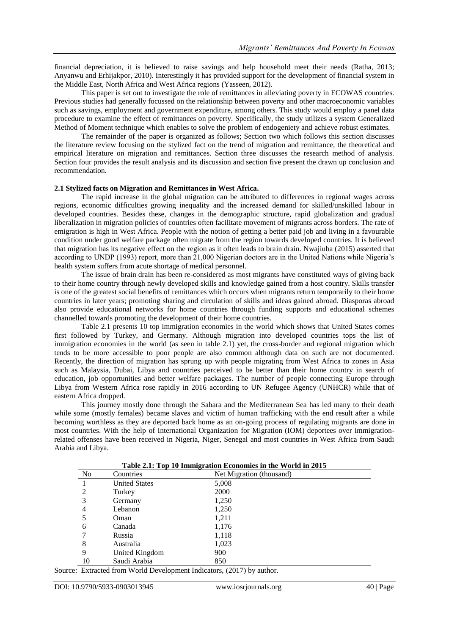financial depreciation, it is believed to raise savings and help household meet their needs (Ratha, 2013; Anyanwu and Erhijakpor, 2010). Interestingly it has provided support for the development of financial system in the Middle East, North Africa and West Africa regions (Yasseen, 2012).

This paper is set out to investigate the role of remittances in alleviating poverty in ECOWAS countries. Previous studies had generally focussed on the relationship between poverty and other macroeconomic variables such as savings, employment and government expenditure, among others. This study would employ a panel data procedure to examine the effect of remittances on poverty. Specifically, the study utilizes a system Generalized Method of Moment technique which enables to solve the problem of endogeniety and achieve robust estimates.

The remainder of the paper is organized as follows; Section two which follows this section discusses the literature review focusing on the stylized fact on the trend of migration and remittance, the theoretical and empirical literature on migration and remittances. Section three discusses the research method of analysis. Section four provides the result analysis and its discussion and section five present the drawn up conclusion and recommendation.

#### **2.1 Stylized facts on Migration and Remittances in West Africa.**

The rapid increase in the global migration can be attributed to differences in regional wages across regions, economic difficulties growing inequality and the increased demand for skilled/unskilled labour in developed countries. Besides these, changes in the demographic structure, rapid globalization and gradual liberalization in migration policies of countries often facilitate movement of migrants across borders. The rate of emigration is high in West Africa. People with the notion of getting a better paid job and living in a favourable condition under good welfare package often migrate from the region towards developed countries. It is believed that migration has its negative effect on the region as it often leads to brain drain. Nwajiuba (2015) asserted that according to UNDP (1993) report, more than 21,000 Nigerian doctors are in the United Nations while Nigeria's health system suffers from acute shortage of medical personnel.

The issue of brain drain has been re-considered as most migrants have constituted ways of giving back to their home country through newly developed skills and knowledge gained from a host country. Skills transfer is one of the greatest social benefits of remittances which occurs when migrants return temporarily to their home countries in later years; promoting sharing and circulation of skills and ideas gained abroad. Diasporas abroad also provide educational networks for home countries through funding supports and educational schemes channelled towards promoting the development of their home countries.

Table 2.1 presents 10 top immigration economies in the world which shows that United States comes first followed by Turkey, and Germany. Although migration into developed countries tops the list of immigration economies in the world (as seen in table 2.1) yet, the cross-border and regional migration which tends to be more accessible to poor people are also common although data on such are not documented. Recently, the direction of migration has sprung up with people migrating from West Africa to zones in Asia such as Malaysia, Dubai, Libya and countries perceived to be better than their home country in search of education, job opportunities and better welfare packages. The number of people connecting Europe through Libya from Western Africa rose rapidly in 2016 according to UN Refugee Agency (UNHCR) while that of eastern Africa dropped.

This journey mostly done through the Sahara and the Mediterranean Sea has led many to their death while some (mostly females) became slaves and victim of human trafficking with the end result after a while becoming worthless as they are deported back home as an on-going process of regulating migrants are done in most countries. With the help of International Organization for Migration (IOM) deportees over immigrationrelated offenses have been received in Nigeria, Niger, Senegal and most countries in West Africa from Saudi Arabia and Libya.

| Table 2.1: Top To Immigration Economies in the world in 2015 |                      |                          |  |  |  |
|--------------------------------------------------------------|----------------------|--------------------------|--|--|--|
| No                                                           | Countries            | Net Migration (thousand) |  |  |  |
|                                                              | <b>United States</b> | 5,008                    |  |  |  |
| 2                                                            | Turkey               | 2000                     |  |  |  |
| 3                                                            | Germany              | 1,250                    |  |  |  |
| 4                                                            | Lebanon              | 1,250                    |  |  |  |
| 5                                                            | Oman                 | 1,211                    |  |  |  |
| 6                                                            | Canada               | 1,176                    |  |  |  |
| 7                                                            | Russia               | 1,118                    |  |  |  |
| 8                                                            | Australia            | 1,023                    |  |  |  |
| 9                                                            | United Kingdom       | 900                      |  |  |  |
| 10                                                           | Saudi Arabia         | 850                      |  |  |  |

**Table 2.1: Top 10 Immigration Economies in the World in 2015**

Source: Extracted from World Development Indicators, (2017) by author.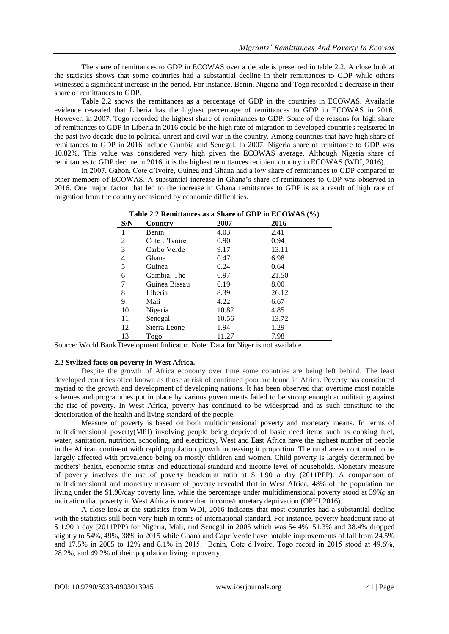The share of remittances to GDP in ECOWAS over a decade is presented in table 2.2. A close look at the statistics shows that some countries had a substantial decline in their remittances to GDP while others witnessed a significant increase in the period. For instance, Benin, Nigeria and Togo recorded a decrease in their share of remittances to GDP.

Table 2.2 shows the remittances as a percentage of GDP in the countries in ECOWAS. Available evidence revealed that Liberia has the highest percentage of remittances to GDP in ECOWAS in 2016. However, in 2007, Togo recorded the highest share of remittances to GDP. Some of the reasons for high share of remittances to GDP in Liberia in 2016 could be the high rate of migration to developed countries registered in the past two decade due to political unrest and civil war in the country. Among countries that have high share of remittances to GDP in 2016 include Gambia and Senegal. In 2007, Nigeria share of remittance to GDP was 10.82%. This value was considered very high given the ECOWAS average. Although Nigeria share of remittances to GDP decline in 2016, it is the highest remittances recipient country in ECOWAS (WDI, 2016).

In 2007, Gabon, Cote d'Ivoire, Guinea and Ghana had a low share of remittances to GDP compared to other members of ECOWAS. A substantial increase in Ghana's share of remittances to GDP was observed in 2016. One major factor that led to the increase in Ghana remittances to GDP is as a result of high rate of migration from the country occasioned by economic difficulties.

| S/N | Country       | 2007  | 2016  |  |
|-----|---------------|-------|-------|--|
| 1   | Benin         | 4.03  | 2.41  |  |
| 2   | Cote d'Ivoire | 0.90  | 0.94  |  |
| 3   | Carbo Verde   | 9.17  | 13.11 |  |
| 4   | Ghana         | 0.47  | 6.98  |  |
| 5   | Guinea        | 0.24  | 0.64  |  |
| 6   | Gambia, The   | 6.97  | 21.50 |  |
| 7   | Guinea Bissau | 6.19  | 8.00  |  |
| 8   | Liberia       | 8.39  | 26.12 |  |
| 9   | Mali          | 4.22  | 6.67  |  |
| 10  | Nigeria       | 10.82 | 4.85  |  |
| 11  | Senegal       | 10.56 | 13.72 |  |
| 12  | Sierra Leone  | 1.94  | 1.29  |  |
| 13  | Togo          | 11.27 | 7.98  |  |

**Table 2.2 Remittances as a Share of GDP in ECOWAS (%)**

Source: World Bank Development Indicator. Note: Data for Niger is not available

## **2.2 Stylized facts on poverty in West Africa.**

Despite the growth of Africa economy over time some countries are being left behind. The least developed countries often known as those at risk of continued poor are found in Africa. Poverty has constituted myriad to the growth and development of developing nations. It has been observed that overtime most notable schemes and programmes put in place by various governments failed to be strong enough at militating against the rise of poverty. In West Africa, poverty has continued to be widespread and as such constitute to the deterioration of the health and living standard of the people.

Measure of poverty is based on both multidimensional poverty and monetary means. In terms of multidimensional poverty(MPI) involving people being deprived of basic need items such as cooking fuel, water, sanitation, nutrition, schooling, and electricity, West and East Africa have the highest number of people in the African continent with rapid population growth increasing it proportion. The rural areas continued to be largely affected with prevalence being on mostly children and women. Child poverty is largely determined by mothers' health, economic status and educational standard and income level of households. Monetary measure of poverty involves the use of poverty headcount ratio at \$ 1.90 a day (2011PPP). A comparison of multidimensional and monetary measure of poverty revealed that in West Africa, 48% of the population are living under the \$1.90/day poverty line, while the percentage under multidimensional poverty stood at 59%; an indication that poverty in West Africa is more than income/monetary deprivation (OPHI,2016).

A close look at the statistics from WDI, 2016 indicates that most countries had a substantial decline with the statistics still been very high in terms of international standard. For instance, poverty headcount ratio at \$ 1.90 a day (2011PPP) for Nigeria, Mali, and Senegal in 2005 which was 54.4%, 51.3% and 38.4% dropped slightly to 54%, 49%, 38% in 2015 while Ghana and Cape Verde have notable improvements of fall from 24.5% and 17.5% in 2005 to 12% and 8.1% in 2015. Benin, Cote d'Ivoire, Togo record in 2015 stood at 49.6%, 28.2%, and 49.2% of their population living in poverty.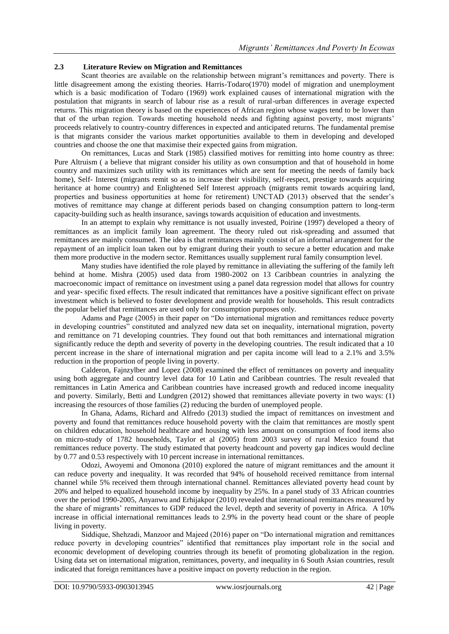## **2.3 Literature Review on Migration and Remittances**

Scant theories are available on the relationship between migrant's remittances and poverty. There is little disagreement among the existing theories. Harris-Todaro(1970) model of migration and unemployment which is a basic modification of Todaro (1969) work explained causes of international migration with the postulation that migrants in search of labour rise as a result of rural-urban differences in average expected returns. This migration theory is based on the experiences of African region whose wages tend to be lower than that of the urban region. Towards meeting household needs and fighting against poverty, most migrants' proceeds relatively to country-country differences in expected and anticipated returns. The fundamental premise is that migrants consider the various market opportunities available to them in developing and developed countries and choose the one that maximise their expected gains from migration.

On remittances, Lucas and Stark (1985) classified motives for remitting into home country as three: Pure Altruism ( a believe that migrant consider his utility as own consumption and that of household in home country and maximizes such utility with its remittances which are sent for meeting the needs of family back home). Self- Interest (migrants remit so as to increase their visibility, self-respect, prestige towards acquiring heritance at home country) and Enlightened Self Interest approach (migrants remit towards acquiring land, properties and business opportunities at home for retirement) UNCTAD (2013) observed that the sender's motives of remittance may change at different periods based on changing consumption pattern to long-term capacity-building such as health insurance, savings towards acquisition of education and investments.

In an attempt to explain why remittance is not usually invested, Poirine (1997) developed a theory of remittances as an implicit family loan agreement. The theory ruled out risk-spreading and assumed that remittances are mainly consumed. The idea is that remittances mainly consist of an informal arrangement for the repayment of an implicit loan taken out by emigrant during their youth to secure a better education and make them more productive in the modern sector. Remittances usually supplement rural family consumption level.

Many studies have identified the role played by remittance in alleviating the suffering of the family left behind at home. Mishra (2005) used data from 1980-2002 on 13 Caribbean countries in analyzing the macroeconomic impact of remittance on investment using a panel data regression model that allows for country and year- specific fixed effects. The result indicated that remittances have a positive significant effect on private investment which is believed to foster development and provide wealth for households. This result contradicts the popular belief that remittances are used only for consumption purposes only.

Adams and Page (2005) in their paper on "Do international migration and remittances reduce poverty in developing countries" constituted and analyzed new data set on inequality, international migration, poverty and remittance on 71 developing countries. They found out that both remittances and international migration significantly reduce the depth and severity of poverty in the developing countries. The result indicated that a 10 percent increase in the share of international migration and per capita income will lead to a 2.1% and 3.5% reduction in the proportion of people living in poverty.

Calderon, Fajnzylber and Lopez (2008) examined the effect of remittances on poverty and inequality using both aggregate and country level data for 10 Latin and Caribbean countries. The result revealed that remittances in Latin America and Caribbean countries have increased growth and reduced income inequality and poverty. Similarly, Betti and Lundgren (2012) showed that remittances alleviate poverty in two ways: (1) increasing the resources of those families (2) reducing the burden of unemployed people.

In Ghana, Adams, Richard and Alfredo (2013) studied the impact of remittances on investment and poverty and found that remittances reduce household poverty with the claim that remittances are mostly spent on children education, household healthcare and housing with less amount on consumption of food items also on micro-study of 1782 households, Taylor et al (2005) from 2003 survey of rural Mexico found that remittances reduce poverty. The study estimated that poverty headcount and poverty gap indices would decline by 0.77 and 0.53 respectively with 10 percent increase in international remittances.

Odozi, Awoyemi and Omonona (2010) explored the nature of migrant remittances and the amount it can reduce poverty and inequality. It was recorded that 94% of household received remittance from internal channel while 5% received them through international channel. Remittances alleviated poverty head count by 20% and helped to equalized household income by inequality by 25%. In a panel study of 33 African countries over the period 1990-2005, Anyanwu and Erhijakpor (2010) revealed that international remittances measured by the share of migrants' remittances to GDP reduced the level, depth and severity of poverty in Africa. A 10% increase in official international remittances leads to 2.9% in the poverty head count or the share of people living in poverty.

Siddique, Shehzadi, Manzoor and Majeed (2016) paper on "Do international migration and remittances reduce poverty in developing countries" identified that remittances play important role in the social and economic development of developing countries through its benefit of promoting globalization in the region. Using data set on international migration, remittances, poverty, and inequality in 6 South Asian countries, result indicated that foreign remittances have a positive impact on poverty reduction in the region.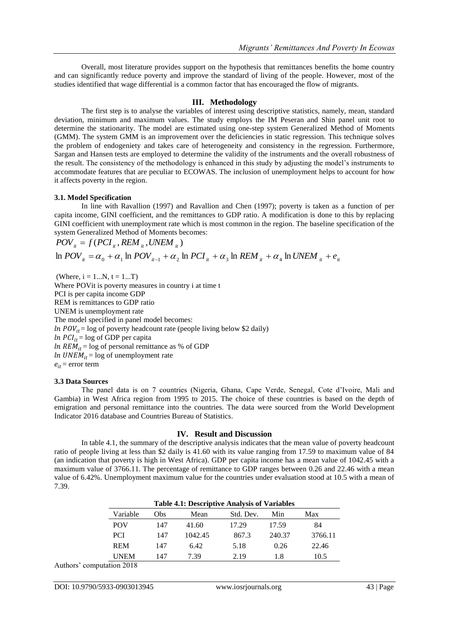Overall, most literature provides support on the hypothesis that remittances benefits the home country and can significantly reduce poverty and improve the standard of living of the people. However, most of the studies identified that wage differential is a common factor that has encouraged the flow of migrants.

### **III. Methodology**

The first step is to analyse the variables of interest using descriptive statistics, namely, mean, standard deviation, minimum and maximum values. The study employs the IM Peseran and Shin panel unit root to determine the stationarity. The model are estimated using one-step system Generalized Method of Moments (GMM). The system GMM is an improvement over the deficiencies in static regression. This technique solves the problem of endogeniety and takes care of heterogeneity and consistency in the regression. Furthermore, Sargan and Hansen tests are employed to determine the validity of the instruments and the overall robustness of the result. The consistency of the methodology is enhanced in this study by adjusting the model's instruments to accommodate features that are peculiar to ECOWAS. The inclusion of unemployment helps to account for how it affects poverty in the region.

#### **3.1. Model Specification**

In line with Ravallion (1997) and Ravallion and Chen (1997); poverty is taken as a function of per capita income, GINI coefficient, and the remittances to GDP ratio. A modification is done to this by replacing GINI coefficient with unemployment rate which is most common in the region. The baseline specification of the system Generalized Method of Moments becomes:

$$
POV_{it} = f (PCI_{it}, REM_{it}, UNEM_{it})
$$
  
In  $POV_{it} = \alpha_0 + \alpha_1 \ln POV_{it-1} + \alpha_2 \ln PCI_{it} + \alpha_3 \ln REM_{it} + \alpha_4 \ln UNEM_{it} + e_{it}$ 

(Where,  $i = 1...N$ ,  $t = 1...T$ ) Where POVit is poverty measures in country i at time t PCI is per capita income GDP REM is remittances to GDP ratio UNEM is unemployment rate The model specified in panel model becomes:  $ln POV_{it} = log of powerty headcount rate (people living below $2 daily)$  $ln PCI_{it} = log of GDP$  per capita In  $REM_{it}$  = log of personal remittance as % of GDP  $ln$  UNEM<sub>it</sub> = log of unemployment rate  $e_{it}$  = error term

#### **3.3 Data Sources**

The panel data is on 7 countries (Nigeria, Ghana, Cape Verde, Senegal, Cote d'Ivoire, Mali and Gambia) in West Africa region from 1995 to 2015. The choice of these countries is based on the depth of emigration and personal remittance into the countries. The data were sourced from the World Development Indicator 2016 database and Countries Bureau of Statistics.

## **IV. Result and Discussion**

In table 4.1, the summary of the descriptive analysis indicates that the mean value of poverty headcount ratio of people living at less than \$2 daily is 41.60 with its value ranging from 17.59 to maximum value of 84 (an indication that poverty is high in West Africa). GDP per capita income has a mean value of 1042.45 with a maximum value of 3766.11. The percentage of remittance to GDP ranges between 0.26 and 22.46 with a mean value of 6.42%. Unemployment maximum value for the countries under evaluation stood at 10.5 with a mean of 7.39.

| <b>Table 4.1: Descriptive Analysis of Variables</b> |         |           |        |         |  |  |
|-----------------------------------------------------|---------|-----------|--------|---------|--|--|
| Obs                                                 | Mean    | Std. Dev. | Min    | Max     |  |  |
| 147                                                 | 41.60   | 17.29     | 17.59  | 84      |  |  |
| 147                                                 | 1042.45 | 867.3     | 240.37 | 3766.11 |  |  |
| 147                                                 | 6.42    | 5.18      | 0.26   | 22.46   |  |  |
| 147                                                 | 7.39    | 2.19      | 1.8    | 10.5    |  |  |
|                                                     |         |           |        |         |  |  |

Authors' computation 2018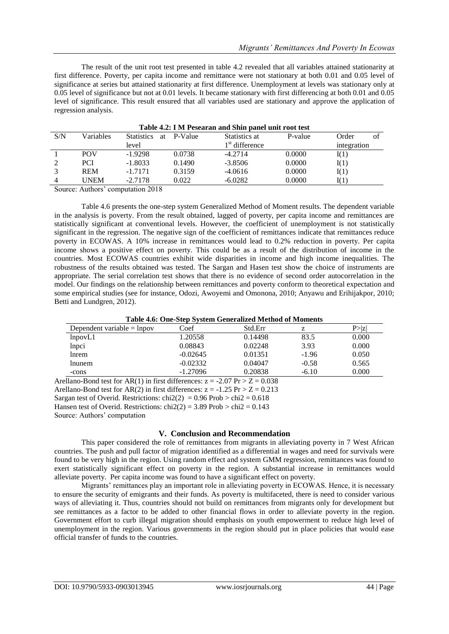The result of the unit root test presented in table 4.2 revealed that all variables attained stationarity at first difference. Poverty, per capita income and remittance were not stationary at both 0.01 and 0.05 level of significance at series but attained stationarity at first difference. Unemployment at levels was stationary only at 0.05 level of significance but not at 0.01 levels. It became stationary with first differencing at both 0.01 and 0.05 level of significance. This result ensured that all variables used are stationary and approve the application of regression analysis.

| Table 4.2: I M Pesearan and Shin panel unit root test |            |                         |         |                  |         |             |  |
|-------------------------------------------------------|------------|-------------------------|---------|------------------|---------|-------------|--|
| S/N                                                   | Variables  | <b>Statistics</b><br>at | P-Value | Statistics at    | P-value | Order<br>of |  |
|                                                       |            | level                   |         | $1st$ difference |         | integration |  |
|                                                       | <b>POV</b> | $-1.9298$               | 0.0738  | $-4.2714$        | 0.0000  | I(1)        |  |
|                                                       | <b>PCI</b> | $-1.8033$               | 0.1490  | $-3.8506$        | 0.0000  | I(1)        |  |
|                                                       | <b>REM</b> | $-1.7171$               | 0.3159  | $-4.0616$        | 0.0000  | I(1)        |  |
|                                                       | UNEM       | $-2.7178$               | 0.022   | $-6.0282$        | 0.0000  | I(1)        |  |

Source: Authors' computation 2018

Table 4.6 presents the one-step system Generalized Method of Moment results. The dependent variable in the analysis is poverty. From the result obtained, lagged of poverty, per capita income and remittances are statistically significant at conventional levels. However, the coefficient of unemployment is not statistically significant in the regression. The negative sign of the coefficient of remittances indicate that remittances reduce poverty in ECOWAS. A 10% increase in remittances would lead to 0.2% reduction in poverty. Per capita income shows a positive effect on poverty. This could be as a result of the distribution of income in the countries. Most ECOWAS countries exhibit wide disparities in income and high income inequalities. The robustness of the results obtained was tested. The Sargan and Hasen test show the choice of instruments are appropriate. The serial correlation test shows that there is no evidence of second order autocorrelation in the model. Our findings on the relationship between remittances and poverty conform to theoretical expectation and some empirical studies (see for instance, Odozi, Awoyemi and Omonona, 2010; Anyawu and Erihijakpor, 2010; Betti and Lundgren, 2012).

| Twee not one beep bypeem ocheranieca meenod of momento |            |                      |         |        |  |
|--------------------------------------------------------|------------|----------------------|---------|--------|--|
| Dependent variable $=$ lnpov                           | Coef       | Std.Err              |         | P >  Z |  |
| lnpovL1                                                | 1.20558    | 0.14498              | 83.5    | 0.000  |  |
| lnpci                                                  | 0.08843    | 0.02248              | 3.93    | 0.000  |  |
| lnrem                                                  | $-0.02645$ | 0.01351              | $-1.96$ | 0.050  |  |
| Inunem                                                 | $-0.02332$ | 0.04047              | $-0.58$ | 0.565  |  |
| -cons                                                  | $-1.27096$ | 0.20838              | $-6.10$ | 0.000  |  |
| $\sim$<br>$\sim$                                       | $\cdots$   | - - - -<br>- - - - - |         |        |  |

Arellano-Bond test for AR(1) in first differences:  $z = -2.07$  Pr  $> Z = 0.038$ Arellano-Bond test for AR(2) in first differences:  $z = -1.25$  Pr  $> Z = 0.213$ Sargan test of Overid. Restrictions:  $\text{chi2}(2) = 0.96 \text{ Prob} > \text{chi2} = 0.618$ Hansen test of Overid. Restrictions:  $\text{chi2}(2) = 3.89 \text{ Prob} > \text{chi2} = 0.143$ Source: Authors' computation

## **V. Conclusion and Recommendation**

This paper considered the role of remittances from migrants in alleviating poverty in 7 West African countries. The push and pull factor of migration identified as a differential in wages and need for survivals were found to be very high in the region. Using random effect and system GMM regression, remittances was found to exert statistically significant effect on poverty in the region. A substantial increase in remittances would alleviate poverty. Per capita income was found to have a significant effect on poverty.

Migrants' remittances play an important role in alleviating poverty in ECOWAS. Hence, it is necessary to ensure the security of emigrants and their funds. As poverty is multifaceted, there is need to consider various ways of alleviating it. Thus, countries should not build on remittances from migrants only for development but see remittances as a factor to be added to other financial flows in order to alleviate poverty in the region. Government effort to curb illegal migration should emphasis on youth empowerment to reduce high level of unemployment in the region. Various governments in the region should put in place policies that would ease official transfer of funds to the countries.